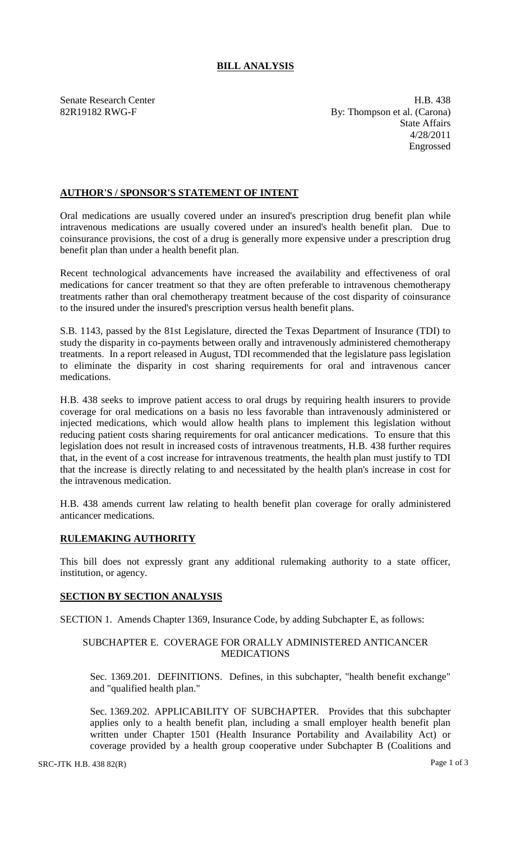# **BILL ANALYSIS**

Senate Research Center **H.B.** 438 82R19182 RWG-F By: Thompson et al. (Carona) State Affairs 4/28/2011 Engrossed

## **AUTHOR'S / SPONSOR'S STATEMENT OF INTENT**

Oral medications are usually covered under an insured's prescription drug benefit plan while intravenous medications are usually covered under an insured's health benefit plan. Due to coinsurance provisions, the cost of a drug is generally more expensive under a prescription drug benefit plan than under a health benefit plan.

Recent technological advancements have increased the availability and effectiveness of oral medications for cancer treatment so that they are often preferable to intravenous chemotherapy treatments rather than oral chemotherapy treatment because of the cost disparity of coinsurance to the insured under the insured's prescription versus health benefit plans.

S.B. 1143, passed by the 81st Legislature, directed the Texas Department of Insurance (TDI) to study the disparity in co-payments between orally and intravenously administered chemotherapy treatments. In a report released in August, TDI recommended that the legislature pass legislation to eliminate the disparity in cost sharing requirements for oral and intravenous cancer medications.

H.B. 438 seeks to improve patient access to oral drugs by requiring health insurers to provide coverage for oral medications on a basis no less favorable than intravenously administered or injected medications, which would allow health plans to implement this legislation without reducing patient costs sharing requirements for oral anticancer medications. To ensure that this legislation does not result in increased costs of intravenous treatments, H.B. 438 further requires that, in the event of a cost increase for intravenous treatments, the health plan must justify to TDI that the increase is directly relating to and necessitated by the health plan's increase in cost for the intravenous medication.

H.B. 438 amends current law relating to health benefit plan coverage for orally administered anticancer medications.

### **RULEMAKING AUTHORITY**

This bill does not expressly grant any additional rulemaking authority to a state officer, institution, or agency.

### **SECTION BY SECTION ANALYSIS**

SECTION 1. Amends Chapter 1369, Insurance Code, by adding Subchapter E, as follows:

### SUBCHAPTER E. COVERAGE FOR ORALLY ADMINISTERED ANTICANCER MEDICATIONS

Sec. 1369.201. DEFINITIONS. Defines, in this subchapter, "health benefit exchange" and "qualified health plan."

Sec. 1369.202. APPLICABILITY OF SUBCHAPTER. Provides that this subchapter applies only to a health benefit plan, including a small employer health benefit plan written under Chapter 1501 (Health Insurance Portability and Availability Act) or coverage provided by a health group cooperative under Subchapter B (Coalitions and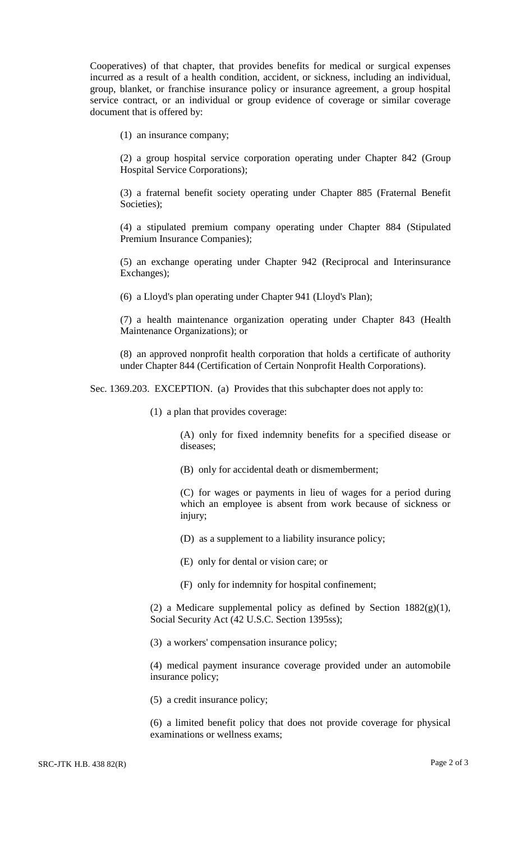Cooperatives) of that chapter, that provides benefits for medical or surgical expenses incurred as a result of a health condition, accident, or sickness, including an individual, group, blanket, or franchise insurance policy or insurance agreement, a group hospital service contract, or an individual or group evidence of coverage or similar coverage document that is offered by:

(1) an insurance company;

(2) a group hospital service corporation operating under Chapter 842 (Group Hospital Service Corporations);

(3) a fraternal benefit society operating under Chapter 885 (Fraternal Benefit Societies);

(4) a stipulated premium company operating under Chapter 884 (Stipulated Premium Insurance Companies);

(5) an exchange operating under Chapter 942 (Reciprocal and Interinsurance Exchanges);

(6) a Lloyd's plan operating under Chapter 941 (Lloyd's Plan);

(7) a health maintenance organization operating under Chapter 843 (Health Maintenance Organizations); or

(8) an approved nonprofit health corporation that holds a certificate of authority under Chapter 844 (Certification of Certain Nonprofit Health Corporations).

Sec. 1369.203. EXCEPTION. (a) Provides that this subchapter does not apply to:

(1) a plan that provides coverage:

(A) only for fixed indemnity benefits for a specified disease or diseases;

(B) only for accidental death or dismemberment;

(C) for wages or payments in lieu of wages for a period during which an employee is absent from work because of sickness or injury;

(D) as a supplement to a liability insurance policy;

(E) only for dental or vision care; or

(F) only for indemnity for hospital confinement;

(2) a Medicare supplemental policy as defined by Section  $1882(g)(1)$ , Social Security Act (42 U.S.C. Section 1395ss);

(3) a workers' compensation insurance policy;

(4) medical payment insurance coverage provided under an automobile insurance policy;

(5) a credit insurance policy;

(6) a limited benefit policy that does not provide coverage for physical examinations or wellness exams;